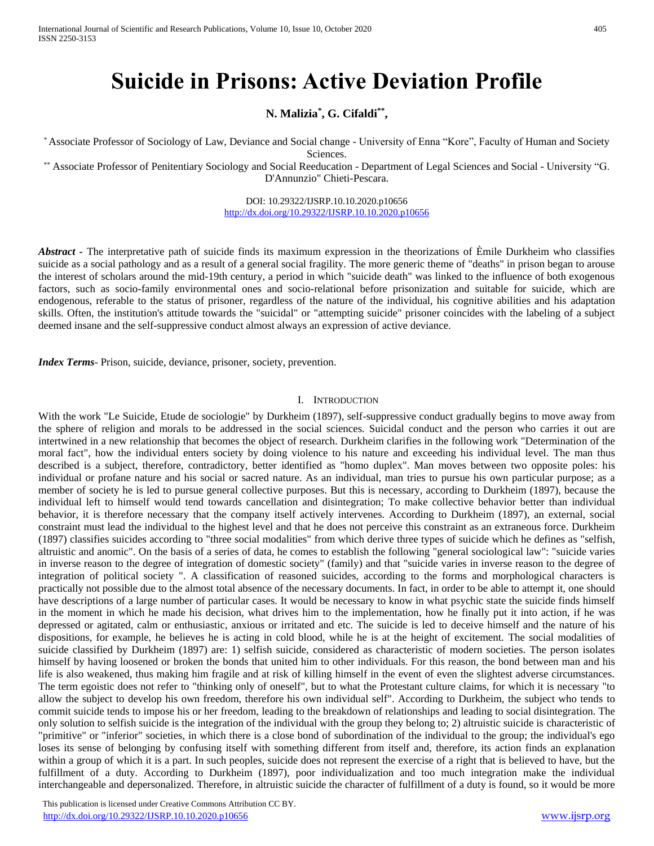# **Suicide in Prisons: Active Deviation Profile**

**N. Malizia\* , G. Cifaldi\*\* ,** 

\* Associate Professor of Sociology of Law, Deviance and Social change - University of Enna "Kore", Faculty of Human and Society Sciences.

\*\* Associate Professor of Penitentiary Sociology and Social Reeducation - Department of Legal Sciences and Social - University "G. D'Annunzio" Chieti-Pescara.

> DOI: 10.29322/IJSRP.10.10.2020.p10656 <http://dx.doi.org/10.29322/IJSRP.10.10.2020.p10656>

*Abstract -* The interpretative path of suicide finds its maximum expression in the theorizations of Èmile Durkheim who classifies suicide as a social pathology and as a result of a general social fragility. The more generic theme of "deaths" in prison began to arouse the interest of scholars around the mid-19th century, a period in which "suicide death" was linked to the influence of both exogenous factors, such as socio-family environmental ones and socio-relational before prisonization and suitable for suicide, which are endogenous, referable to the status of prisoner, regardless of the nature of the individual, his cognitive abilities and his adaptation skills. Often, the institution's attitude towards the "suicidal" or "attempting suicide" prisoner coincides with the labeling of a subject deemed insane and the self-suppressive conduct almost always an expression of active deviance.

*Index Terms*- Prison, suicide, deviance, prisoner, society, prevention.

#### I. INTRODUCTION

With the work "Le Suicide, Etude de sociologie" by Durkheim (1897), self-suppressive conduct gradually begins to move away from the sphere of religion and morals to be addressed in the social sciences. Suicidal conduct and the person who carries it out are intertwined in a new relationship that becomes the object of research. Durkheim clarifies in the following work "Determination of the moral fact", how the individual enters society by doing violence to his nature and exceeding his individual level. The man thus described is a subject, therefore, contradictory, better identified as "homo duplex". Man moves between two opposite poles: his individual or profane nature and his social or sacred nature. As an individual, man tries to pursue his own particular purpose; as a member of society he is led to pursue general collective purposes. But this is necessary, according to Durkheim (1897), because the individual left to himself would tend towards cancellation and disintegration; To make collective behavior better than individual behavior, it is therefore necessary that the company itself actively intervenes. According to Durkheim (1897), an external, social constraint must lead the individual to the highest level and that he does not perceive this constraint as an extraneous force. Durkheim (1897) classifies suicides according to "three social modalities" from which derive three types of suicide which he defines as "selfish, altruistic and anomic". On the basis of a series of data, he comes to establish the following "general sociological law": "suicide varies in inverse reason to the degree of integration of domestic society" (family) and that "suicide varies in inverse reason to the degree of integration of political society ". A classification of reasoned suicides, according to the forms and morphological characters is practically not possible due to the almost total absence of the necessary documents. In fact, in order to be able to attempt it, one should have descriptions of a large number of particular cases. It would be necessary to know in what psychic state the suicide finds himself in the moment in which he made his decision, what drives him to the implementation, how he finally put it into action, if he was depressed or agitated, calm or enthusiastic, anxious or irritated and etc. The suicide is led to deceive himself and the nature of his dispositions, for example, he believes he is acting in cold blood, while he is at the height of excitement. The social modalities of suicide classified by Durkheim (1897) are: 1) selfish suicide, considered as characteristic of modern societies. The person isolates himself by having loosened or broken the bonds that united him to other individuals. For this reason, the bond between man and his life is also weakened, thus making him fragile and at risk of killing himself in the event of even the slightest adverse circumstances. The term egoistic does not refer to "thinking only of oneself", but to what the Protestant culture claims, for which it is necessary "to allow the subject to develop his own freedom, therefore his own individual self". According to Durkheim, the subject who tends to commit suicide tends to impose his or her freedom, leading to the breakdown of relationships and leading to social disintegration. The only solution to selfish suicide is the integration of the individual with the group they belong to; 2) altruistic suicide is characteristic of "primitive" or "inferior" societies, in which there is a close bond of subordination of the individual to the group; the individual's ego loses its sense of belonging by confusing itself with something different from itself and, therefore, its action finds an explanation within a group of which it is a part. In such peoples, suicide does not represent the exercise of a right that is believed to have, but the fulfillment of a duty. According to Durkheim (1897), poor individualization and too much integration make the individual interchangeable and depersonalized. Therefore, in altruistic suicide the character of fulfillment of a duty is found, so it would be more

 This publication is licensed under Creative Commons Attribution CC BY. <http://dx.doi.org/10.29322/IJSRP.10.10.2020.p10656> [www.ijsrp.org](http://ijsrp.org/)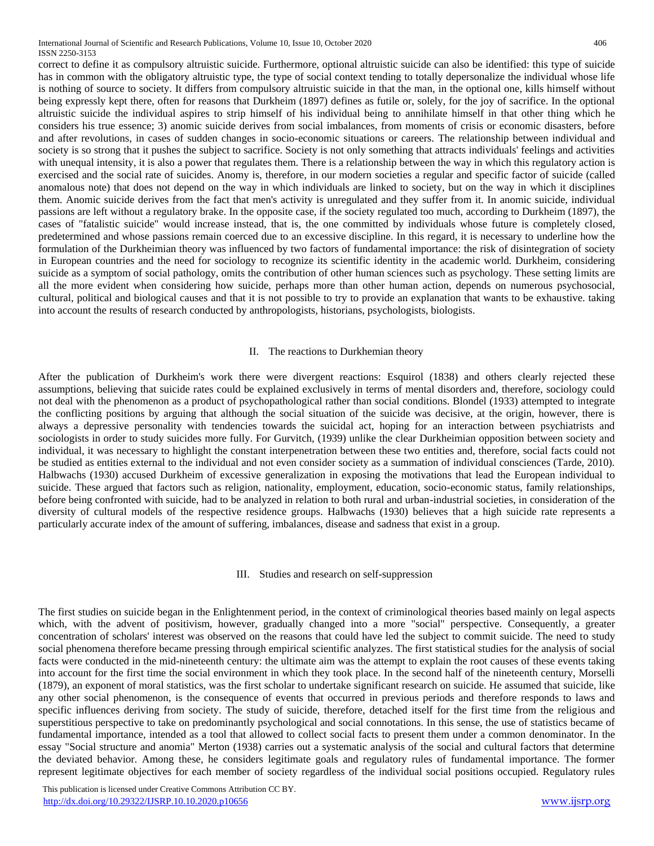International Journal of Scientific and Research Publications, Volume 10, Issue 10, October 2020 406 ISSN 2250-3153

correct to define it as compulsory altruistic suicide. Furthermore, optional altruistic suicide can also be identified: this type of suicide has in common with the obligatory altruistic type, the type of social context tending to totally depersonalize the individual whose life is nothing of source to society. It differs from compulsory altruistic suicide in that the man, in the optional one, kills himself without being expressly kept there, often for reasons that Durkheim (1897) defines as futile or, solely, for the joy of sacrifice. In the optional altruistic suicide the individual aspires to strip himself of his individual being to annihilate himself in that other thing which he considers his true essence; 3) anomic suicide derives from social imbalances, from moments of crisis or economic disasters, before and after revolutions, in cases of sudden changes in socio-economic situations or careers. The relationship between individual and society is so strong that it pushes the subject to sacrifice. Society is not only something that attracts individuals' feelings and activities with unequal intensity, it is also a power that regulates them. There is a relationship between the way in which this regulatory action is exercised and the social rate of suicides. Anomy is, therefore, in our modern societies a regular and specific factor of suicide (called anomalous note) that does not depend on the way in which individuals are linked to society, but on the way in which it disciplines them. Anomic suicide derives from the fact that men's activity is unregulated and they suffer from it. In anomic suicide, individual passions are left without a regulatory brake. In the opposite case, if the society regulated too much, according to Durkheim (1897), the cases of "fatalistic suicide" would increase instead, that is, the one committed by individuals whose future is completely closed, predetermined and whose passions remain coerced due to an excessive discipline. In this regard, it is necessary to underline how the formulation of the Durkheimian theory was influenced by two factors of fundamental importance: the risk of disintegration of society in European countries and the need for sociology to recognize its scientific identity in the academic world. Durkheim, considering suicide as a symptom of social pathology, omits the contribution of other human sciences such as psychology. These setting limits are all the more evident when considering how suicide, perhaps more than other human action, depends on numerous psychosocial, cultural, political and biological causes and that it is not possible to try to provide an explanation that wants to be exhaustive. taking into account the results of research conducted by anthropologists, historians, psychologists, biologists.

### II. The reactions to Durkhemian theory

After the publication of Durkheim's work there were divergent reactions: Esquirol (1838) and others clearly rejected these assumptions, believing that suicide rates could be explained exclusively in terms of mental disorders and, therefore, sociology could not deal with the phenomenon as a product of psychopathological rather than social conditions. Blondel (1933) attempted to integrate the conflicting positions by arguing that although the social situation of the suicide was decisive, at the origin, however, there is always a depressive personality with tendencies towards the suicidal act, hoping for an interaction between psychiatrists and sociologists in order to study suicides more fully. For Gurvitch, (1939) unlike the clear Durkheimian opposition between society and individual, it was necessary to highlight the constant interpenetration between these two entities and, therefore, social facts could not be studied as entities external to the individual and not even consider society as a summation of individual consciences (Tarde, 2010). Halbwachs (1930) accused Durkheim of excessive generalization in exposing the motivations that lead the European individual to suicide. These argued that factors such as religion, nationality, employment, education, socio-economic status, family relationships, before being confronted with suicide, had to be analyzed in relation to both rural and urban-industrial societies, in consideration of the diversity of cultural models of the respective residence groups. Halbwachs (1930) believes that a high suicide rate represents a particularly accurate index of the amount of suffering, imbalances, disease and sadness that exist in a group.

### III. Studies and research on self-suppression

The first studies on suicide began in the Enlightenment period, in the context of criminological theories based mainly on legal aspects which, with the advent of positivism, however, gradually changed into a more "social" perspective. Consequently, a greater concentration of scholars' interest was observed on the reasons that could have led the subject to commit suicide. The need to study social phenomena therefore became pressing through empirical scientific analyzes. The first statistical studies for the analysis of social facts were conducted in the mid-nineteenth century: the ultimate aim was the attempt to explain the root causes of these events taking into account for the first time the social environment in which they took place. In the second half of the nineteenth century, Morselli (1879), an exponent of moral statistics, was the first scholar to undertake significant research on suicide. He assumed that suicide, like any other social phenomenon, is the consequence of events that occurred in previous periods and therefore responds to laws and specific influences deriving from society. The study of suicide, therefore, detached itself for the first time from the religious and superstitious perspective to take on predominantly psychological and social connotations. In this sense, the use of statistics became of fundamental importance, intended as a tool that allowed to collect social facts to present them under a common denominator. In the essay "Social structure and anomia" Merton (1938) carries out a systematic analysis of the social and cultural factors that determine the deviated behavior. Among these, he considers legitimate goals and regulatory rules of fundamental importance. The former represent legitimate objectives for each member of society regardless of the individual social positions occupied. Regulatory rules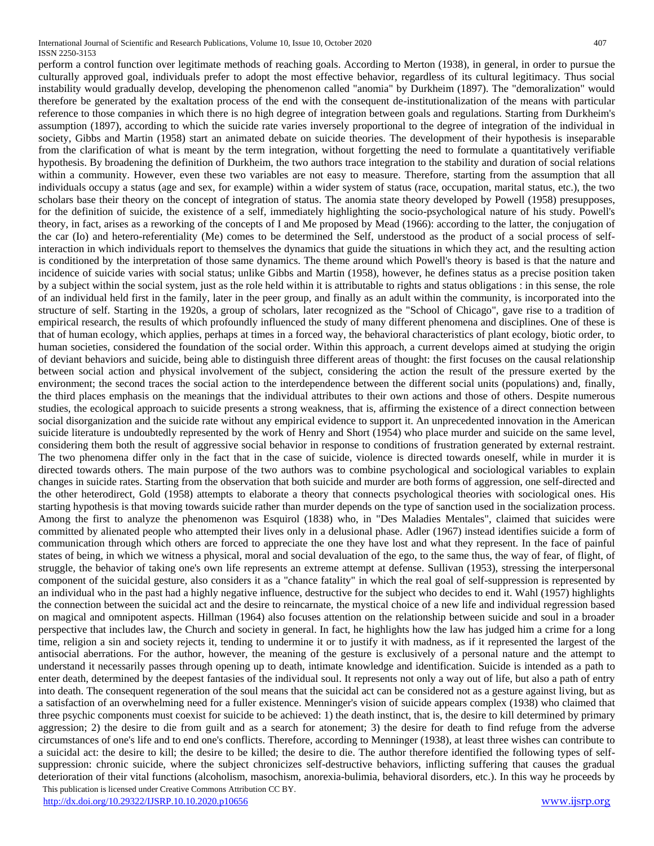This publication is licensed under Creative Commons Attribution CC BY. perform a control function over legitimate methods of reaching goals. According to Merton (1938), in general, in order to pursue the culturally approved goal, individuals prefer to adopt the most effective behavior, regardless of its cultural legitimacy. Thus social instability would gradually develop, developing the phenomenon called "anomia" by Durkheim (1897). The "demoralization" would therefore be generated by the exaltation process of the end with the consequent de-institutionalization of the means with particular reference to those companies in which there is no high degree of integration between goals and regulations. Starting from Durkheim's assumption (1897), according to which the suicide rate varies inversely proportional to the degree of integration of the individual in society, Gibbs and Martin (1958) start an animated debate on suicide theories. The development of their hypothesis is inseparable from the clarification of what is meant by the term integration, without forgetting the need to formulate a quantitatively verifiable hypothesis. By broadening the definition of Durkheim, the two authors trace integration to the stability and duration of social relations within a community. However, even these two variables are not easy to measure. Therefore, starting from the assumption that all individuals occupy a status (age and sex, for example) within a wider system of status (race, occupation, marital status, etc.), the two scholars base their theory on the concept of integration of status. The anomia state theory developed by Powell (1958) presupposes, for the definition of suicide, the existence of a self, immediately highlighting the socio-psychological nature of his study. Powell's theory, in fact, arises as a reworking of the concepts of I and Me proposed by Mead (1966): according to the latter, the conjugation of the car (Io) and hetero-referentiality (Me) comes to be determined the Self, understood as the product of a social process of selfinteraction in which individuals report to themselves the dynamics that guide the situations in which they act, and the resulting action is conditioned by the interpretation of those same dynamics. The theme around which Powell's theory is based is that the nature and incidence of suicide varies with social status; unlike Gibbs and Martin (1958), however, he defines status as a precise position taken by a subject within the social system, just as the role held within it is attributable to rights and status obligations : in this sense, the role of an individual held first in the family, later in the peer group, and finally as an adult within the community, is incorporated into the structure of self. Starting in the 1920s, a group of scholars, later recognized as the "School of Chicago", gave rise to a tradition of empirical research, the results of which profoundly influenced the study of many different phenomena and disciplines. One of these is that of human ecology, which applies, perhaps at times in a forced way, the behavioral characteristics of plant ecology, biotic order, to human societies, considered the foundation of the social order. Within this approach, a current develops aimed at studying the origin of deviant behaviors and suicide, being able to distinguish three different areas of thought: the first focuses on the causal relationship between social action and physical involvement of the subject, considering the action the result of the pressure exerted by the environment; the second traces the social action to the interdependence between the different social units (populations) and, finally, the third places emphasis on the meanings that the individual attributes to their own actions and those of others. Despite numerous studies, the ecological approach to suicide presents a strong weakness, that is, affirming the existence of a direct connection between social disorganization and the suicide rate without any empirical evidence to support it. An unprecedented innovation in the American suicide literature is undoubtedly represented by the work of Henry and Short (1954) who place murder and suicide on the same level, considering them both the result of aggressive social behavior in response to conditions of frustration generated by external restraint. The two phenomena differ only in the fact that in the case of suicide, violence is directed towards oneself, while in murder it is directed towards others. The main purpose of the two authors was to combine psychological and sociological variables to explain changes in suicide rates. Starting from the observation that both suicide and murder are both forms of aggression, one self-directed and the other heterodirect, Gold (1958) attempts to elaborate a theory that connects psychological theories with sociological ones. His starting hypothesis is that moving towards suicide rather than murder depends on the type of sanction used in the socialization process. Among the first to analyze the phenomenon was Esquirol (1838) who, in "Des Maladies Mentales", claimed that suicides were committed by alienated people who attempted their lives only in a delusional phase. Adler (1967) instead identifies suicide a form of communication through which others are forced to appreciate the one they have lost and what they represent. In the face of painful states of being, in which we witness a physical, moral and social devaluation of the ego, to the same thus, the way of fear, of flight, of struggle, the behavior of taking one's own life represents an extreme attempt at defense. Sullivan (1953), stressing the interpersonal component of the suicidal gesture, also considers it as a "chance fatality" in which the real goal of self-suppression is represented by an individual who in the past had a highly negative influence, destructive for the subject who decides to end it. Wahl (1957) highlights the connection between the suicidal act and the desire to reincarnate, the mystical choice of a new life and individual regression based on magical and omnipotent aspects. Hillman (1964) also focuses attention on the relationship between suicide and soul in a broader perspective that includes law, the Church and society in general. In fact, he highlights how the law has judged him a crime for a long time, religion a sin and society rejects it, tending to undermine it or to justify it with madness, as if it represented the largest of the antisocial aberrations. For the author, however, the meaning of the gesture is exclusively of a personal nature and the attempt to understand it necessarily passes through opening up to death, intimate knowledge and identification. Suicide is intended as a path to enter death, determined by the deepest fantasies of the individual soul. It represents not only a way out of life, but also a path of entry into death. The consequent regeneration of the soul means that the suicidal act can be considered not as a gesture against living, but as a satisfaction of an overwhelming need for a fuller existence. Menninger's vision of suicide appears complex (1938) who claimed that three psychic components must coexist for suicide to be achieved: 1) the death instinct, that is, the desire to kill determined by primary aggression; 2) the desire to die from guilt and as a search for atonement; 3) the desire for death to find refuge from the adverse circumstances of one's life and to end one's conflicts. Therefore, according to Menninger (1938), at least three wishes can contribute to a suicidal act: the desire to kill; the desire to be killed; the desire to die. The author therefore identified the following types of selfsuppression: chronic suicide, where the subject chronicizes self-destructive behaviors, inflicting suffering that causes the gradual deterioration of their vital functions (alcoholism, masochism, anorexia-bulimia, behavioral disorders, etc.). In this way he proceeds by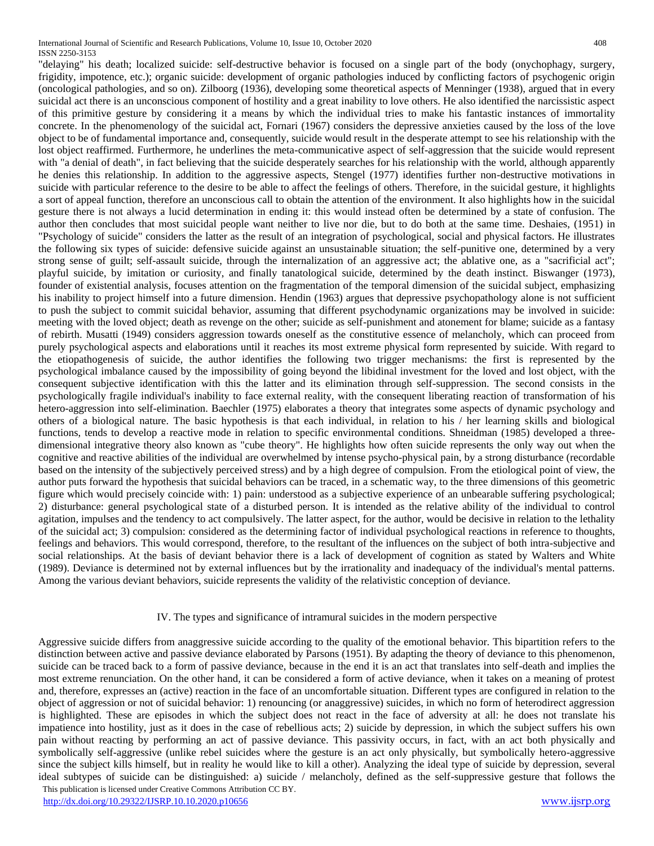"delaying" his death; localized suicide: self-destructive behavior is focused on a single part of the body (onychophagy, surgery, frigidity, impotence, etc.); organic suicide: development of organic pathologies induced by conflicting factors of psychogenic origin (oncological pathologies, and so on). Zilboorg (1936), developing some theoretical aspects of Menninger (1938), argued that in every suicidal act there is an unconscious component of hostility and a great inability to love others. He also identified the narcissistic aspect of this primitive gesture by considering it a means by which the individual tries to make his fantastic instances of immortality concrete. In the phenomenology of the suicidal act, Fornari (1967) considers the depressive anxieties caused by the loss of the love object to be of fundamental importance and, consequently, suicide would result in the desperate attempt to see his relationship with the lost object reaffirmed. Furthermore, he underlines the meta-communicative aspect of self-aggression that the suicide would represent with "a denial of death", in fact believing that the suicide desperately searches for his relationship with the world, although apparently he denies this relationship. In addition to the aggressive aspects, Stengel (1977) identifies further non-destructive motivations in suicide with particular reference to the desire to be able to affect the feelings of others. Therefore, in the suicidal gesture, it highlights a sort of appeal function, therefore an unconscious call to obtain the attention of the environment. It also highlights how in the suicidal gesture there is not always a lucid determination in ending it: this would instead often be determined by a state of confusion. The author then concludes that most suicidal people want neither to live nor die, but to do both at the same time. Deshaies, (1951) in "Psychology of suicide" considers the latter as the result of an integration of psychological, social and physical factors. He illustrates the following six types of suicide: defensive suicide against an unsustainable situation; the self-punitive one, determined by a very strong sense of guilt; self-assault suicide, through the internalization of an aggressive act; the ablative one, as a "sacrificial act"; playful suicide, by imitation or curiosity, and finally tanatological suicide, determined by the death instinct. Biswanger (1973), founder of existential analysis, focuses attention on the fragmentation of the temporal dimension of the suicidal subject, emphasizing his inability to project himself into a future dimension. Hendin (1963) argues that depressive psychopathology alone is not sufficient to push the subject to commit suicidal behavior, assuming that different psychodynamic organizations may be involved in suicide: meeting with the loved object; death as revenge on the other; suicide as self-punishment and atonement for blame; suicide as a fantasy of rebirth. Musatti (1949) considers aggression towards oneself as the constitutive essence of melancholy, which can proceed from purely psychological aspects and elaborations until it reaches its most extreme physical form represented by suicide. With regard to the etiopathogenesis of suicide, the author identifies the following two trigger mechanisms: the first is represented by the psychological imbalance caused by the impossibility of going beyond the libidinal investment for the loved and lost object, with the consequent subjective identification with this the latter and its elimination through self-suppression. The second consists in the psychologically fragile individual's inability to face external reality, with the consequent liberating reaction of transformation of his hetero-aggression into self-elimination. Baechler (1975) elaborates a theory that integrates some aspects of dynamic psychology and others of a biological nature. The basic hypothesis is that each individual, in relation to his / her learning skills and biological functions, tends to develop a reactive mode in relation to specific environmental conditions. Shneidman (1985) developed a threedimensional integrative theory also known as "cube theory". He highlights how often suicide represents the only way out when the cognitive and reactive abilities of the individual are overwhelmed by intense psycho-physical pain, by a strong disturbance (recordable based on the intensity of the subjectively perceived stress) and by a high degree of compulsion. From the etiological point of view, the author puts forward the hypothesis that suicidal behaviors can be traced, in a schematic way, to the three dimensions of this geometric figure which would precisely coincide with: 1) pain: understood as a subjective experience of an unbearable suffering psychological; 2) disturbance: general psychological state of a disturbed person. It is intended as the relative ability of the individual to control agitation, impulses and the tendency to act compulsively. The latter aspect, for the author, would be decisive in relation to the lethality of the suicidal act; 3) compulsion: considered as the determining factor of individual psychological reactions in reference to thoughts, feelings and behaviors. This would correspond, therefore, to the resultant of the influences on the subject of both intra-subjective and social relationships. At the basis of deviant behavior there is a lack of development of cognition as stated by Walters and White

## IV. The types and significance of intramural suicides in the modern perspective

(1989). Deviance is determined not by external influences but by the irrationality and inadequacy of the individual's mental patterns.

Among the various deviant behaviors, suicide represents the validity of the relativistic conception of deviance.

 This publication is licensed under Creative Commons Attribution CC BY. Aggressive suicide differs from anaggressive suicide according to the quality of the emotional behavior. This bipartition refers to the distinction between active and passive deviance elaborated by Parsons (1951). By adapting the theory of deviance to this phenomenon, suicide can be traced back to a form of passive deviance, because in the end it is an act that translates into self-death and implies the most extreme renunciation. On the other hand, it can be considered a form of active deviance, when it takes on a meaning of protest and, therefore, expresses an (active) reaction in the face of an uncomfortable situation. Different types are configured in relation to the object of aggression or not of suicidal behavior: 1) renouncing (or anaggressive) suicides, in which no form of heterodirect aggression is highlighted. These are episodes in which the subject does not react in the face of adversity at all: he does not translate his impatience into hostility, just as it does in the case of rebellious acts; 2) suicide by depression, in which the subject suffers his own pain without reacting by performing an act of passive deviance. This passivity occurs, in fact, with an act both physically and symbolically self-aggressive (unlike rebel suicides where the gesture is an act only physically, but symbolically hetero-aggressive since the subject kills himself, but in reality he would like to kill a other). Analyzing the ideal type of suicide by depression, several ideal subtypes of suicide can be distinguished: a) suicide / melancholy, defined as the self-suppressive gesture that follows the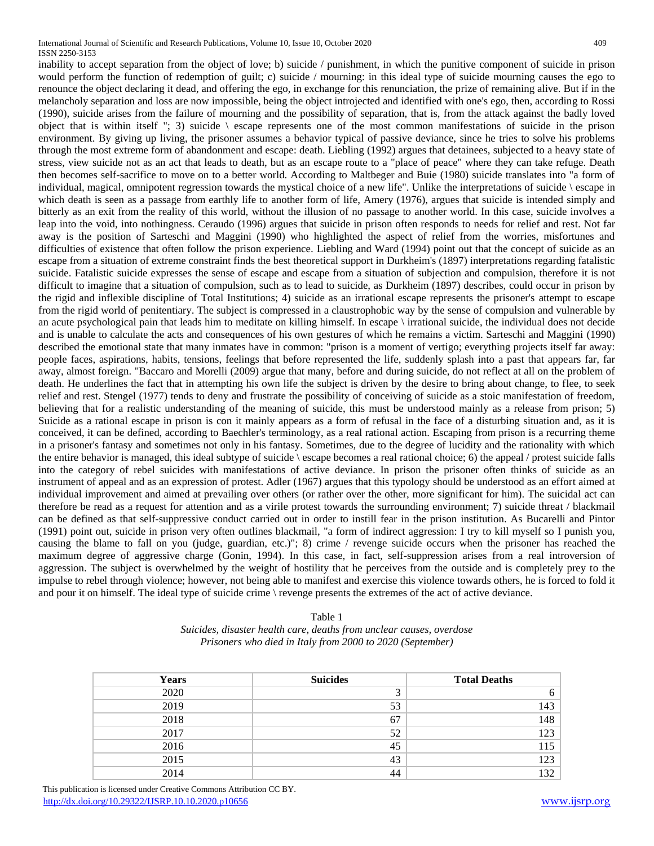International Journal of Scientific and Research Publications, Volume 10, Issue 10, October 2020 409 ISSN 2250-3153

inability to accept separation from the object of love; b) suicide / punishment, in which the punitive component of suicide in prison would perform the function of redemption of guilt; c) suicide / mourning: in this ideal type of suicide mourning causes the ego to renounce the object declaring it dead, and offering the ego, in exchange for this renunciation, the prize of remaining alive. But if in the melancholy separation and loss are now impossible, being the object introjected and identified with one's ego, then, according to Rossi (1990), suicide arises from the failure of mourning and the possibility of separation, that is, from the attack against the badly loved object that is within itself "; 3) suicide  $\epsilon$  escape represents one of the most common manifestations of suicide in the prison environment. By giving up living, the prisoner assumes a behavior typical of passive deviance, since he tries to solve his problems through the most extreme form of abandonment and escape: death. Liebling (1992) argues that detainees, subjected to a heavy state of stress, view suicide not as an act that leads to death, but as an escape route to a "place of peace" where they can take refuge. Death then becomes self-sacrifice to move on to a better world. According to Maltbeger and Buie (1980) suicide translates into "a form of individual, magical, omnipotent regression towards the mystical choice of a new life". Unlike the interpretations of suicide \ escape in which death is seen as a passage from earthly life to another form of life, Amery (1976), argues that suicide is intended simply and bitterly as an exit from the reality of this world, without the illusion of no passage to another world. In this case, suicide involves a leap into the void, into nothingness. Ceraudo (1996) argues that suicide in prison often responds to needs for relief and rest. Not far away is the position of Sarteschi and Maggini (1990) who highlighted the aspect of relief from the worries, misfortunes and difficulties of existence that often follow the prison experience. Liebling and Ward (1994) point out that the concept of suicide as an escape from a situation of extreme constraint finds the best theoretical support in Durkheim's (1897) interpretations regarding fatalistic suicide. Fatalistic suicide expresses the sense of escape and escape from a situation of subjection and compulsion, therefore it is not difficult to imagine that a situation of compulsion, such as to lead to suicide, as Durkheim (1897) describes, could occur in prison by the rigid and inflexible discipline of Total Institutions; 4) suicide as an irrational escape represents the prisoner's attempt to escape from the rigid world of penitentiary. The subject is compressed in a claustrophobic way by the sense of compulsion and vulnerable by an acute psychological pain that leads him to meditate on killing himself. In escape \ irrational suicide, the individual does not decide and is unable to calculate the acts and consequences of his own gestures of which he remains a victim. Sarteschi and Maggini (1990) described the emotional state that many inmates have in common: "prison is a moment of vertigo; everything projects itself far away: people faces, aspirations, habits, tensions, feelings that before represented the life, suddenly splash into a past that appears far, far away, almost foreign. "Baccaro and Morelli (2009) argue that many, before and during suicide, do not reflect at all on the problem of death. He underlines the fact that in attempting his own life the subject is driven by the desire to bring about change, to flee, to seek relief and rest. Stengel (1977) tends to deny and frustrate the possibility of conceiving of suicide as a stoic manifestation of freedom, believing that for a realistic understanding of the meaning of suicide, this must be understood mainly as a release from prison; 5) Suicide as a rational escape in prison is con it mainly appears as a form of refusal in the face of a disturbing situation and, as it is conceived, it can be defined, according to Baechler's terminology, as a real rational action. Escaping from prison is a recurring theme in a prisoner's fantasy and sometimes not only in his fantasy. Sometimes, due to the degree of lucidity and the rationality with which the entire behavior is managed, this ideal subtype of suicide \ escape becomes a real rational choice; 6) the appeal / protest suicide falls into the category of rebel suicides with manifestations of active deviance. In prison the prisoner often thinks of suicide as an instrument of appeal and as an expression of protest. Adler (1967) argues that this typology should be understood as an effort aimed at individual improvement and aimed at prevailing over others (or rather over the other, more significant for him). The suicidal act can therefore be read as a request for attention and as a virile protest towards the surrounding environment; 7) suicide threat / blackmail can be defined as that self-suppressive conduct carried out in order to instill fear in the prison institution. As Bucarelli and Pintor (1991) point out, suicide in prison very often outlines blackmail, "a form of indirect aggression: I try to kill myself so I punish you, causing the blame to fall on you (judge, guardian, etc.)"; 8) crime / revenge suicide occurs when the prisoner has reached the maximum degree of aggressive charge (Gonin, 1994). In this case, in fact, self-suppression arises from a real introversion of aggression. The subject is overwhelmed by the weight of hostility that he perceives from the outside and is completely prey to the impulse to rebel through violence; however, not being able to manifest and exercise this violence towards others, he is forced to fold it and pour it on himself. The ideal type of suicide crime \ revenge presents the extremes of the act of active deviance.

| Table 1                                                              |
|----------------------------------------------------------------------|
| Suicides, disaster health care, deaths from unclear causes, overdose |
| Prisoners who died in Italy from 2000 to 2020 (September)            |

|  | <b>Years</b> | <b>Suicides</b> | <b>Total Deaths</b> |
|--|--------------|-----------------|---------------------|
|  | 2020         | ◠               | 6                   |
|  | 2019         | 53              | 143                 |
|  | 2018         | 67              | 148                 |
|  | 2017         | 52              | 123                 |
|  | 2016         | 45              | 115                 |
|  | 2015         | 43              | 123                 |
|  | 2014         | 44              | 132                 |
|  |              |                 |                     |

 This publication is licensed under Creative Commons Attribution CC BY. <http://dx.doi.org/10.29322/IJSRP.10.10.2020.p10656> [www.ijsrp.org](http://ijsrp.org/)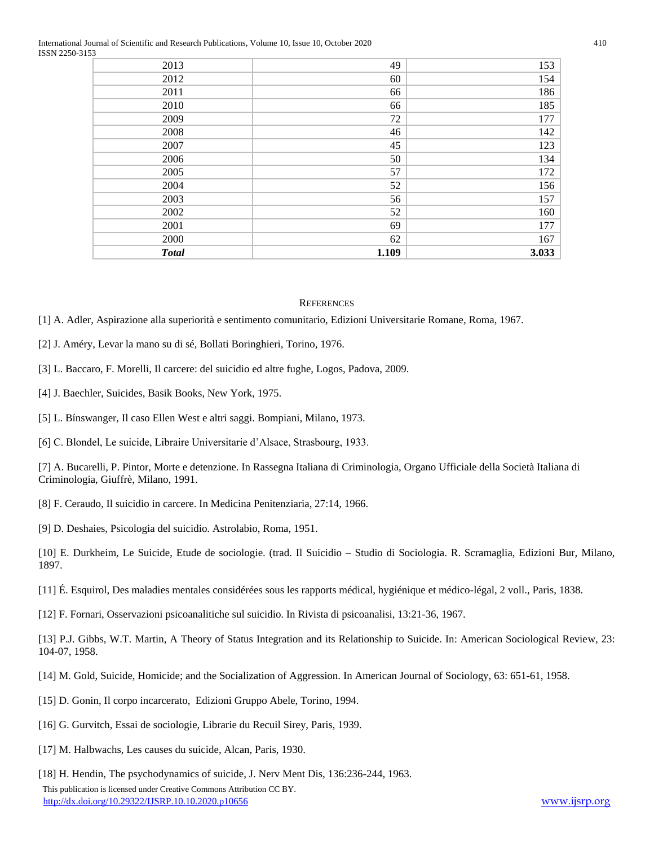International Journal of Scientific and Research Publications, Volume 10, Issue 10, October 2020 410 ISSN 2250-3153

| <b>Total</b> | 1.109 | 3.033 |
|--------------|-------|-------|
| 2000         | 62    | 167   |
| 2001         | 69    | 177   |
| 2002         | 52    | 160   |
| 2003         | 56    | 157   |
| 2004         | 52    | 156   |
| 2005         | 57    | 172   |
| 2006         | 50    | 134   |
| 2007         | 45    | 123   |
| 2008         | 46    | 142   |
| 2009         | 72    | 177   |
| 2010         | 66    | 185   |
| 2011         | 66    | 186   |
| 2012         | 60    | 154   |
| 2013         | 49    | 153   |

#### **REFERENCES**

- [1] A. Adler, Aspirazione alla superiorità e sentimento comunitario, Edizioni Universitarie Romane, Roma, 1967.
- [2] J. Améry, Levar la mano su di sé, Bollati Boringhieri, Torino, 1976.
- [3] L. Baccaro, F. Morelli, Il carcere: del suicidio ed altre fughe, Logos, Padova, 2009.
- [4] J. Baechler, Suicides, Basik Books, New York, 1975.
- [5] L. Bínswanger, Il caso Ellen West e altri saggi. Bompiani, Milano, 1973.
- [6] C. Blondel, Le suicide, Libraire Universitarie d'Alsace, Strasbourg, 1933.

[7] A. Bucarelli, P. Pintor, Morte e detenzione. In Rassegna Italiana di Criminologia, Organo Ufficiale della Società Italiana di Criminologia, Giuffrè, Milano, 1991.

- [8] F. Ceraudo, Il suicidio in carcere. In Medicina Penitenziaria, 27:14, 1966.
- [9] D. Deshaies, Psicologia del suicidio. Astrolabio, Roma, 1951.

[10] E. Durkheim, Le Suicide, Etude de sociologie. (trad. Il Suicidio – Studio di Sociologia. R. Scramaglia, Edizioni Bur, Milano, 1897.

- [11] É. Esquirol, Des maladies mentales considérées sous les rapports médical, hygiénique et médico-légal, 2 voll., Paris, 1838.
- [12] F. Fornari, Osservazioni psicoanalitiche sul suicidio. In Rivista di psicoanalisi, 13:21-36, 1967.

[13] P.J. Gibbs, W.T. Martin, A Theory of Status Integration and its Relationship to Suicide. In: American Sociological Review, 23: 104-07, 1958.

- [14] M. Gold, Suicide, Homicide; and the Socialization of Aggression. In American Journal of Sociology, 63: 651-61, 1958.
- [15] D. Gonin, Il corpo incarcerato, Edizioni Gruppo Abele, Torino, 1994.
- [16] G. Gurvitch, Essai de sociologie, Librarie du Recuil Sirey, Paris, 1939.
- [17] M. Halbwachs, Les causes du suicide, Alcan, Paris, 1930.
- [18] H. Hendin, The psychodynamics of suicide, J. Nerv Ment Dis, 136:236-244, 1963.

 This publication is licensed under Creative Commons Attribution CC BY. <http://dx.doi.org/10.29322/IJSRP.10.10.2020.p10656> [www.ijsrp.org](http://ijsrp.org/)